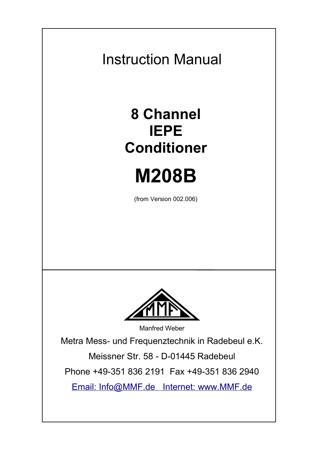Instruction Manual

# **8 Channel IEPE Conditioner**

# **M208B**

(from Version 002.006)



Manfred Weber

Metra Mess- und Frequenztechnik in Radebeul e.K.

Meissner Str. 58 - D-01445 Radebeul

Phone +49-351 836 2191 Fax +49-351 836 2940

 [Email:](http://www.mmf.de/) [Info@MMF.de](mailto:info@mmf.de) [Internet: www.MMF.de](http://www.mmf.de/)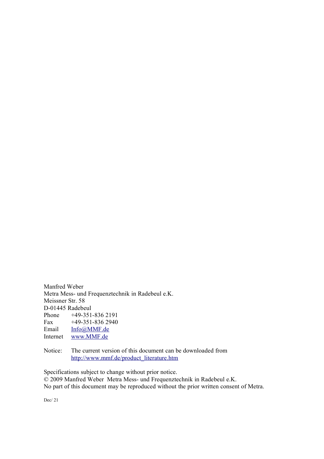Manfred Weber Metra Mess- und Frequenztechnik in Radebeul e.K. Meissner Str. 58 D-01445 Radebeul<br>Phone +49-351 Phone +49-351-836 2191 Fax +49-351-836 2940<br>Email Info@MMF.de Email [Info@MMF.de](mailto:info@mmf.de)<br>Internet www.MMF.de [www.MMF.de](http://www.mmf.de/)

Notice: The current version of this document can be downloaded from [http://www.mmf.de/product\\_literature.htm](http://www.mmf.de/produktliteratur.htm)

Specifications subject to change without prior notice. © 2009 Manfred Weber Metra Mess- und Frequenztechnik in Radebeul e.K. No part of this document may be reproduced without the prior written consent of Metra.

Dec/ 21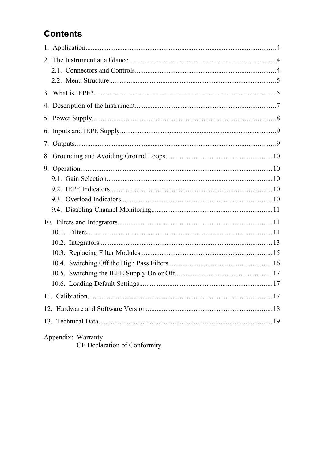# **Contents**

| Appendix: Warranty |  |
|--------------------|--|

CE Declaration of Conformity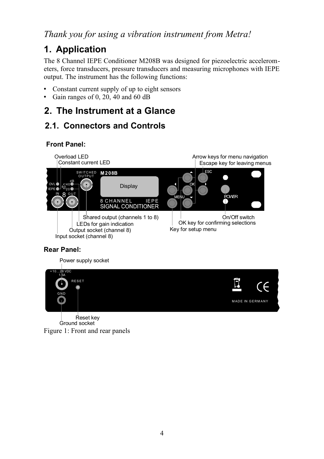#### *Thank you for using a vibration instrument from Metra!*

## **1. Application**

The 8 Channel IEPE Conditioner M208B was designed for piezoelectric accelerometers, force transducers, pressure transducers and measuring microphones with IEPE output. The instrument has the following functions:

- Constant current supply of up to eight sensors
- Gain ranges of 0, 20, 40 and 60 dB

#### **2. The Instrument at a Glance**

#### **2.1. Connectors and Controls**

#### **Front Panel:**



#### **Rear Panel:**



Figure 1: Front and rear panels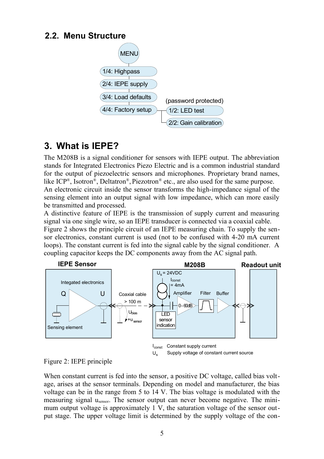#### **2.2. Menu Structure**



## **3. What is IEPE?**

<span id="page-4-1"></span>The M208B is a signal conditioner for sensors with IEPE output. The abbreviation stands for Integrated Electronics Piezo Electric and is a common industrial standard for the output of piezoelectric sensors and microphones. Proprietary brand names, like ICP®, Isotron®, Deltatron®, Piezotron® etc., are also used for the same purpose. An electronic circuit inside the sensor transforms the high-impedance signal of the sensing element into an output signal with low impedance, which can more easily be transmitted and processed.

A distinctive feature of IEPE is the transmission of supply current and measuring signal via one single wire, so an IEPE transducer is connected via a coaxial cable.

[Figure 2](#page-4-0) shows the principle circuit of an IEPE measuring chain. To supply the sensor electronics, constant current is used (not to be confused with 4-20 mA current loops). The constant current is fed into the signal cable by the signal conditioner. A coupling capacitor keeps the DC components away from the AC signal path.



<span id="page-4-0"></span>Figure 2: IEPE principle

When constant current is fed into the sensor, a positive DC voltage, called bias voltage, arises at the sensor terminals. Depending on model and manufacturer, the bias voltage can be in the range from 5 to 14 V. The bias voltage is modulated with the measuring signal usensor. The sensor output can never become negative. The minimum output voltage is approximately 1 V, the saturation voltage of the sensor output stage. The upper voltage limit is determined by the supply voltage of the con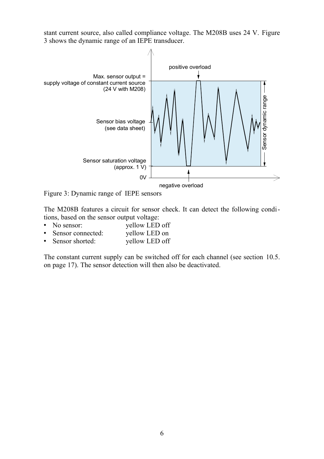stant current source, also called compliance voltage. The M208B uses 24 V. [Figure](#page-5-0) [3](#page-5-0) shows the dynamic range of an IEPE transducer.



<span id="page-5-0"></span>Figure 3: Dynamic range of IEPE sensors

The M208B features a circuit for sensor check. It can detect the following conditions, based on the sensor output voltage:<br>• No sensor: vellow LED

- yellow LED off<br>vellow LED on
- Sensor connected: yellow LED on<br>• Sensor shorted: yellow LED off
- $\bullet$  Sensor shorted:

The constant current supply can be switched off for each channel (see section [10.5.](#page-16-0) on page [17\)](#page-16-0). The sensor detection will then also be deactivated.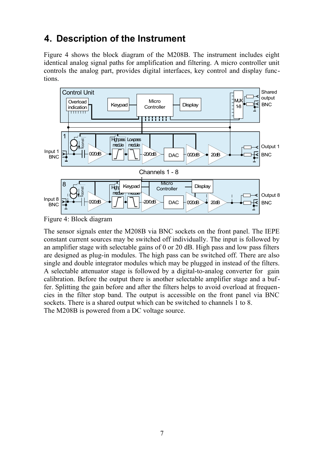# **4. Description of the Instrument**

[Figure 4](#page-6-0) shows the block diagram of the M208B. The instrument includes eight identical analog signal paths for amplification and filtering. A micro controller unit controls the analog part, provides digital interfaces, key control and display functions.



<span id="page-6-0"></span>Figure 4: Block diagram

The sensor signals enter the M208B via BNC sockets on the front panel. The IEPE constant current sources may be switched off individually. The input is followed by an amplifier stage with selectable gains of 0 or 20 dB. High pass and low pass filters are designed as plug-in modules. The high pass can be switched off. There are also single and double integrator modules which may be plugged in instead of the filters. A selectable attenuator stage is followed by a digital-to-analog converter for gain calibration. Before the output there is another selectable amplifier stage and a buffer. Splitting the gain before and after the filters helps to avoid overload at frequencies in the filter stop band. The output is accessible on the front panel via BNC sockets. There is a shared output which can be switched to channels 1 to 8. The M208B is powered from a DC voltage source.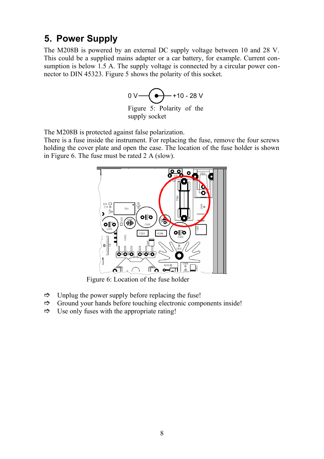#### **5. Power Supply**

The M208B is powered by an external DC supply voltage between 10 and 28 V. This could be a supplied mains adapter or a car battery, for example. Current consumption is below 1.5 A. The supply voltage is connected by a circular power connector to DIN 45323. [Figure 5](#page-7-1) shows the polarity of this socket.



<span id="page-7-1"></span>Figure 5: Polarity of the supply socket

The M208B is protected against false polarization.

There is a fuse inside the instrument. For replacing the fuse, remove the four screws holding the cover plate and open the case. The location of the fuse holder is shown in [Figure 6.](#page-7-0) The fuse must be rated 2 A (slow).



<span id="page-7-0"></span>Figure 6: Location of the fuse holder

- $\Rightarrow$  Unplug the power supply before replacing the fuse!
- $\Rightarrow$  Ground your hands before touching electronic components inside!
- $\Rightarrow$  Use only fuses with the appropriate rating!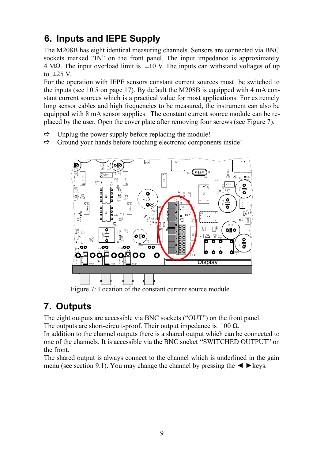# **6. Inputs and IEPE Supply**

The M208B has eight identical measuring channels. Sensors are connected via BNC sockets marked "IN" on the front panel. The input impedance is approximately 4 MΩ. The input overload limit is  $\pm 10$  V. The inputs can withstand voltages of up to  $\pm 25$  V.

For the operation with IEPE sensors constant current sources must be switched to the inputs (see [10.5](#page-16-0) on page [17\)](#page-16-0). By default the M208B is equipped with 4 mA constant current sources which is a practical value for most applications. For extremely long sensor cables and high frequencies to be measured, the instrument can also be equipped with 8 mA sensor supplies. The constant current source module can be replaced by the user. Open the cover plate after removing four screws (see [Figure 7\)](#page-8-0).

- $\Rightarrow$  Unplug the power supply before replacing the module!
- $\Rightarrow$  Ground your hands before touching electronic components inside!



<span id="page-8-0"></span>Figure 7: Location of the constant current source module

## **7. Outputs**

<span id="page-8-1"></span>The eight outputs are accessible via BNC sockets ("OUT") on the front panel. The outputs are short-circuit-proof. Their output impedance is  $100 \Omega$ .

In addition to the channel outputs there is a shared output which can be connected to one of the channels. It is accessible via the BNC socket "SWITCHED OUTPUT" on the front.

The shared output is always connect to the channel which is underlined in the gain menu (see section [9.1\)](#page-9-0). You may change the channel by pressing the  $\blacktriangleleft \blacktriangleright$  keys.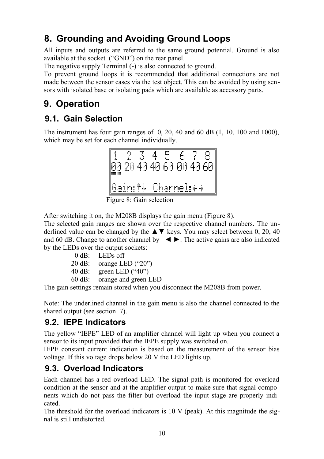# **8. Grounding and Avoiding Ground Loops**

All inputs and outputs are referred to the same ground potential. Ground is also available at the socket ("GND") on the rear panel.

The negative supply Terminal (-) is also connected to ground.

To prevent ground loops it is recommended that additional connections are not made between the sensor cases via the test object. This can be avoided by using sensors with isolated base or isolating pads which are available as accessory parts.

# **9. Operation**

#### **9.1. Gain Selection**

<span id="page-9-0"></span>The instrument has four gain ranges of 0, 20, 40 and 60 dB (1, 10, 100 and 1000), which may be set for each channel individually.



<span id="page-9-1"></span>Figure 8: Gain selection

After switching it on, the M208B displays the gain menu [\(Figure 8\)](#page-9-1).

The selected gain ranges are shown over the respective channel numbers. The underlined value can be changed by the  $\triangle \blacktriangledown$  keys. You may select between 0, 20, 40 and 60 dB. Change to another channel by  $\blacktriangleleft \blacktriangleright$ . The active gains are also indicated by the LEDs over the output sockets:

| LEDs off             |
|----------------------|
| orange LED ("20")    |
| green LED ("40")     |
| orange and green LED |
|                      |

The gain settings remain stored when you disconnect the M208B from power.

Note: The underlined channel in the gain menu is also the channel connected to the shared output (see section [7\)](#page-8-1).

#### **9.2. IEPE Indicators**

The yellow "IEPE" LED of an amplifier channel will light up when you connect a sensor to its input provided that the IEPE supply was switched on.

IEPE constant current indication is based on the measurement of the sensor bias voltage. If this voltage drops below 20 V the LED lights up.

#### **9.3. Overload Indicators**

Each channel has a red overload LED. The signal path is monitored for overload condition at the sensor and at the amplifier output to make sure that signal components which do not pass the filter but overload the input stage are properly indicated.

The threshold for the overload indicators is  $10 \text{ V}$  (peak). At this magnitude the signal is still undistorted.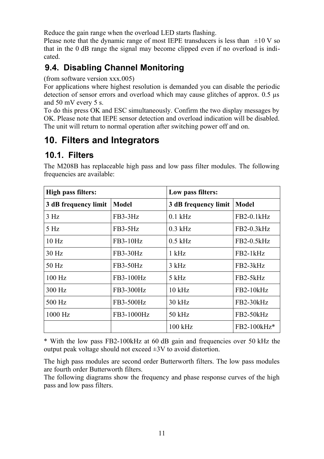Reduce the gain range when the overload LED starts flashing.

Please note that the dynamic range of most IEPE transducers is less than  $\pm 10$  V so that in the 0 dB range the signal may become clipped even if no overload is indicated.

### **9.4. Disabling Channel Monitoring**

(from software version xxx.005)

For applications where highest resolution is demanded you can disable the periodic detection of sensor errors and overload which may cause glitches of approx. 0.5 µs and 50 mV every 5 s.

To do this press OK and ESC simultaneously. Confirm the two display messages by OK. Please note that IEPE sensor detection and overload indication will be disabled. The unit will return to normal operation after switching power off and on.

## **10. Filters and Integrators**

#### **10.1. Filters**

| <b>High pass filters:</b> |            | Low pass filters:    |              |
|---------------------------|------------|----------------------|--------------|
| 3 dB frequency limit      | Model      | 3 dB frequency limit | Model        |
| 3 H <sub>z</sub>          | $FB3-3Hz$  | $0.1$ kHz            | FB2-0.1kHz   |
| 5 <sub>Hz</sub>           | FB3-5Hz    | $0.3$ kHz            | FB2-0.3kHz   |
| 10 <sub>Hz</sub>          | FB3-10Hz   | $0.5$ kHz            | $FB2-0.5kHz$ |
| 30 Hz                     | FB3-30Hz   | $1$ kHz              | $FB2-1kHz$   |
| 50 Hz                     | FB3-50Hz   | 3 kHz                | $FB2-3kHz$   |
| $100$ Hz                  | FB3-100Hz  | 5 kHz                | FB2-5kHz     |
| 300 Hz                    | FB3-300Hz  | $10$ kHz             | $FB2-10kHz$  |
| 500 Hz                    | FB3-500Hz  | $30$ kHz             | $FB2-30kHz$  |
| 1000 Hz                   | FB3-1000Hz | $50$ kHz             | FB2-50kHz    |
|                           |            | $100$ kHz            | FB2-100kHz*  |

The M208B has replaceable high pass and low pass filter modules. The following frequencies are available:

\* With the low pass FB2-100kHz at 60 dB gain and frequencies over 50 kHz the output peak voltage should not exceed  $\pm 3V$  to avoid distortion.

The high pass modules are second order Butterworth filters. The low pass modules are fourth order Butterworth filters.

The following diagrams show the frequency and phase response curves of the high pass and low pass filters.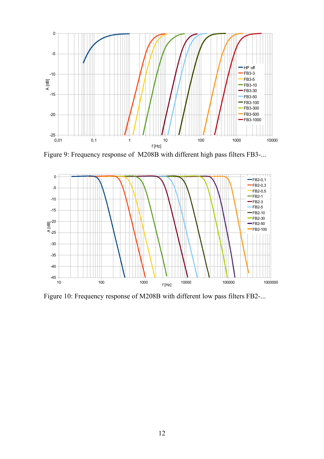

Figure 9: Frequency response of M208B with different high pass filters FB3-...



Figure 10: Frequency response of M208B with different low pass filters FB2-...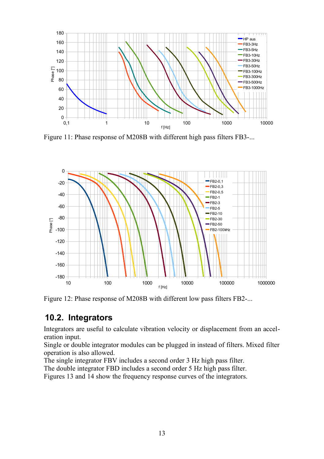

Figure 11: Phase response of M208B with different high pass filters FB3-...



Figure 12: Phase response of M208B with different low pass filters FB2-...

#### **10.2. Integrators**

Integrators are useful to calculate vibration velocity or displacement from an acceleration input.

Single or double integrator modules can be plugged in instead of filters. Mixed filter operation is also allowed.

The single integrator FBV includes a second order 3 Hz high pass filter.

The double integrator FBD includes a second order 5 Hz high pass filter.

Figures [13](#page-13-1) and [14](#page-13-0) show the frequency response curves of the integrators.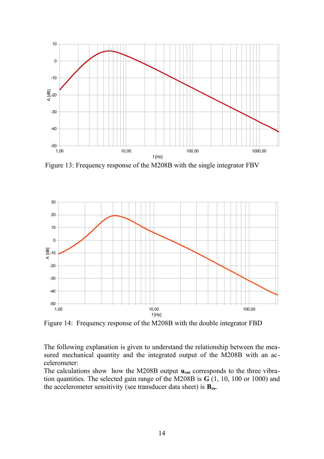

<span id="page-13-1"></span>Figure 13: Frequency response of the M208B with the single integrator FBV



<span id="page-13-0"></span>Figure 14: Frequency response of the M208B with the double integrator FBD

The following explanation is given to understand the relationship between the measured mechanical quantity and the integrated output of the M208B with an accelerometer:

The calculations show how the M208B output  $\mathbf{u}_{\text{out}}$  corresponds to the three vibration quantities. The selected gain range of the M208B is **G** (1, 10, 100 or 1000) and the accelerometer sensitivity (see transducer data sheet) is **Bua**.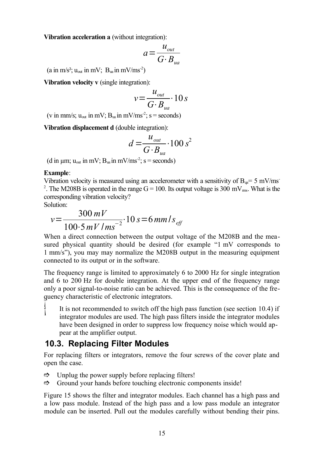**Vibration acceleration a** (without integration):

$$
a = \frac{u_{\text{out}}}{G \cdot B_{\text{ua}}}
$$

(a in m/s<sup>2</sup>; u<sub>out</sub> in mV;  $B_{ua}$  in mV/ms<sup>-2</sup>)

**Vibration velocity v** (single integration):

$$
v = \frac{u_{out}}{G \cdot B_{ua}} \cdot 10 s
$$

(v in mm/s;  $u_{\text{out}}$  in mV;  $B_{\text{ua}}$  in mV/ms<sup>-2</sup>; s = seconds)

**Vibration displacement d** (double integration):

$$
d = \frac{u_{out}}{G \cdot B_{ua}} \cdot 100 s^2
$$

(d in  $\mu$ m;  $u_{\text{out}}$  in mV;  $B_{\text{ua}}$  in mV/ms<sup>-2</sup>; s = seconds)

#### **Example**:

Vibration velocity is measured using an accelerometer with a sensitivity of  $B_{\alpha}= 5$  mV/ms <sup>2</sup>. The M208B is operated in the range  $G = 100$ . Its output voltage is 300 mV<sub>ms</sub>. What is the corresponding vibration velocity?

Solution:

$$
v = \frac{300 \, mV}{100 \cdot 5 \, mV / ms^{-2}} \cdot 10 \, s = 6 \, mm / s_{\text{eff}}
$$

When a direct connection between the output voltage of the M208B and the measured physical quantity should be desired (for example "1 mV corresponds to 1 mm/s"), you may may normalize the M208B output in the measuring equipment connected to its output or in the software.

The frequency range is limited to approximately 6 to 2000 Hz for single integration and 6 to 200 Hz for double integration. At the upper end of the frequency range only a poor signal-to-noise ratio can be achieved. This is the consequence of the frequency characteristic of electronic integrators.

 It is not recommended to switch off the high pass function (see section [10.4\)](#page-15-1) if integrator modules are used. The high pass filters inside the integrator modules have been designed in order to suppress low frequency noise which would appear at the amplifier output.

#### **10.3. Replacing Filter Modules**

For replacing filters or integrators, remove the four screws of the cover plate and open the case.

- $\Rightarrow$  Unplug the power supply before replacing filters!
- $\Rightarrow$  Ground your hands before touching electronic components inside!

[Figure 15](#page-15-0) shows the filter and integrator modules. Each channel has a high pass and a low pass module. Instead of the high pass and a low pass module an integrator module can be inserted. Pull out the modules carefully without bending their pins.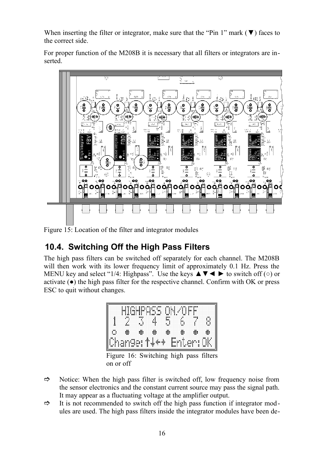When inserting the filter or integrator, make sure that the "Pin 1" mark ( $\nabla$ ) faces to the correct side.

For proper function of the M208B it is necessary that all filters or integrators are inserted.



<span id="page-15-0"></span>Figure  $15$ : Location of the filter and integrator modules

# **10.4. Switching Off the High Pass Filters**

<span id="page-15-1"></span>The high pass filters can be switched off separately for each channel. The M208B will then work with its lower frequency limit of approximately 0.1 Hz. Press the MENU key and select "1/4: Highpass". Use the keys  $\triangle \blacktriangledown \blacktriangle \blacktriangledown$  to switch off ( $\circ$ ) or activate  $(\bullet)$  the high pass filter for the respective channel. Confirm with OK or press ESC to quit without changes.



Figure 16: Switching high pass filters on or off

- $\Rightarrow$  Notice: When the high pass filter is switched off, low frequency noise from the sensor electronics and the constant current source may pass the signal path. It may appear as a fluctuating voltage at the amplifier output.
- $\Rightarrow$  It is not recommended to switch off the high pass function if integrator modules are used. The high pass filters inside the integrator modules have been de-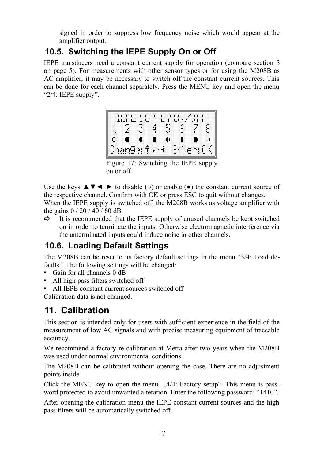signed in order to suppress low frequency noise which would appear at the amplifier output.

## **10.5. Switching the IEPE Supply On or Off**

<span id="page-16-0"></span>IEPE transducers need a constant current supply for operation (compare section [3](#page-4-1) on page [5\)](#page-4-1). For measurements with other sensor types or for using the M208B as AC amplifier, it may be necessary to switch off the constant current sources. This can be done for each channel separately. Press the MENU key and open the menu "2/4: IEPE supply".



Figure 17: Switching the IEPE supply on or off

Use the keys  $\blacktriangle \blacktriangledown \blacktriangle \blacktriangledown$  to disable ( $\circ$ ) or enable ( $\bullet$ ) the constant current source of the respective channel. Confirm with OK or press ESC to quit without changes. When the IEPE supply is switched off, the M208B works as voltage amplifier with the gains 0 / 20 / 40 / 60 dB.

 $\Rightarrow$  It is recommended that the IEPE supply of unused channels be kept switched on in order to terminate the inputs. Otherwise electromagnetic interference via the unterminated inputs could induce noise in other channels.

#### **10.6. Loading Default Settings**

The M208B can be reset to its factory default settings in the menu "3/4: Load defaults". The following settings will be changed:

- Gain for all channels 0 dB
- All high pass filters switched off
- All IEPE constant current sources switched off

Calibration data is not changed.

# **11. Calibration**

This section is intended only for users with sufficient experience in the field of the measurement of low AC signals and with precise measuring equipment of traceable accuracy.

We recommend a factory re-calibration at Metra after two years when the M208B was used under normal environmental conditions.

The M208B can be calibrated without opening the case. There are no adjustment points inside.

Click the MENU key to open the menu  $\Lambda$ 4/4: Factory setup. This menu is password protected to avoid unwanted alteration. Enter the following password: "1410".

After opening the calibration menu the IEPE constant current sources and the high pass filters will be automatically switched off.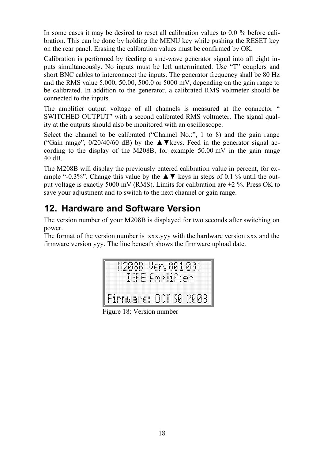In some cases it may be desired to reset all calibration values to 0.0 % before calibration. This can be done by holding the MENU key while pushing the RESET key on the rear panel. Erasing the calibration values must be confirmed by OK.

Calibration is performed by feeding a sine-wave generator signal into all eight inputs simultaneously. No inputs must be left unterminated. Use "T" couplers and short BNC cables to interconnect the inputs. The generator frequency shall be 80 Hz and the RMS value 5.000, 50.00, 500.0 or 5000 mV, depending on the gain range to be calibrated. In addition to the generator, a calibrated RMS voltmeter should be connected to the inputs.

The amplifier output voltage of all channels is measured at the connector " SWITCHED OUTPUT" with a second calibrated RMS voltmeter. The signal quality at the outputs should also be monitored with an oscilloscope.

Select the channel to be calibrated ("Channel No.:", 1 to 8) and the gain range ("Gain range",  $0/20/40/60$  dB) by the  $\triangle \blacktriangledown$  keys. Feed in the generator signal according to the display of the M208B, for example 50.00 mV in the gain range 40 dB.

The M208B will display the previously entered calibration value in percent, for example "-0.3%". Change this value by the  $\triangle \blacktriangledown$  keys in steps of 0.1 % until the output voltage is exactly 5000 mV (RMS). Limits for calibration are  $\pm 2$  %. Press OK to save your adjustment and to switch to the next channel or gain range.

# **12. Hardware and Software Version**

The version number of your M208B is displayed for two seconds after switching on power.

The format of the version number is xxx.yyy with the hardware version xxx and the firmware version yyy. The line beneath shows the firmware upload date.



Figure 18: Version number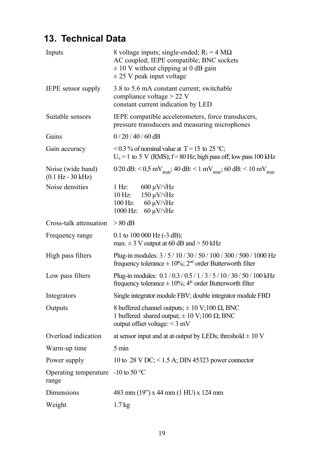# **13. Technical Data**

| Inputs                                                   | 8 voltage inputs; single-ended; $RI = 4 M\Omega$<br>AC coupled; IEPE compatible; BNC sockets<br>$\pm$ 10 V without clipping at 0 dB gain<br>$\pm$ 25 V peak input voltage |  |  |
|----------------------------------------------------------|---------------------------------------------------------------------------------------------------------------------------------------------------------------------------|--|--|
| IEPE sensor supply                                       | 3.8 to 5.6 mA constant current; switchable<br>compliance voltage > 22 V<br>constant current indication by LED                                                             |  |  |
| Suitable sensors                                         | IEPE compatible accelerometers, force transducers,<br>pressure transducers and measuring microphones                                                                      |  |  |
| Gains                                                    | $0/20/40/60$ dB                                                                                                                                                           |  |  |
| Gain accuracy                                            | <0.3 % of nominal value at T = 15 to 25 °C;<br>$U_a = 1$ to 5 V (RMS); $f = 80$ Hz; high pass off; low pass 100 kHz                                                       |  |  |
| Noise (wide band)<br>$(0.1 \text{ Hz} - 30 \text{ kHz})$ | 0/20 dB: < 0,5 mV <sub>RMS</sub> ; 40 dB: < 1 mV <sub>RMS</sub> ; 60 dB: < 10 mV <sub>RMS</sub>                                                                           |  |  |
| Noise densities                                          | $600 \mu V/\sqrt{Hz}$<br>1 Hz<br>$150 \mu V/\sqrt{Hz}$<br>10 Hz:<br>100 Hz: $60 \mu V/\sqrt{Hz}$<br>1000 Hz: 60 $\mu$ V/ $\sqrt{Hz}$                                      |  |  |
| Cross-talk attenuation                                   | $> 80$ dB                                                                                                                                                                 |  |  |
| Frequency range                                          | 0.1 to 100 000 Hz (-3 dB);<br>max. $\pm$ 3 V output at 60 dB and > 50 kHz                                                                                                 |  |  |
| High pass filters                                        | Plug-in modules: $3/5/10/30/50/100/300/500/1000$ Hz<br>frequency tolerance $\pm 10\%$ ; 2 <sup>nd</sup> order Butterworth filter                                          |  |  |
| Low pass filters                                         | Plug-in modules: 0.1/0.3/0.5/1/3/5/10/30/50/100 kHz<br>frequency tolerance $\pm 10\%$ ; 4 <sup>th</sup> order Butterworth filter                                          |  |  |
| Integrators                                              | Single integrator module FBV; double integrator module FBD                                                                                                                |  |  |
| Outputs                                                  | 8 buffered channel outputs; $\pm 10 \text{ V}; 100 \Omega$ , BNC<br>1 buffered shared output; $\pm$ 10 V; 100 $\Omega$ ; BNC<br>output offset voltage: < 3 mV             |  |  |
| Overload indication                                      | at sensor input and at at output by LEDs; threshold $\pm$ 10 V                                                                                                            |  |  |
| Warm-up time                                             | $5 \text{ min}$                                                                                                                                                           |  |  |
| Power supply                                             | 10 to 28 V DC; $\leq$ 1.5 A; DIN 45323 power connector                                                                                                                    |  |  |
| Operating temperature<br>range                           | $-10$ to 50 °C                                                                                                                                                            |  |  |
| Dimensions                                               | 483 mm (19") x 44 mm (1 HU) x 124 mm                                                                                                                                      |  |  |
| Weight                                                   | 1.7 <sub>kg</sub>                                                                                                                                                         |  |  |